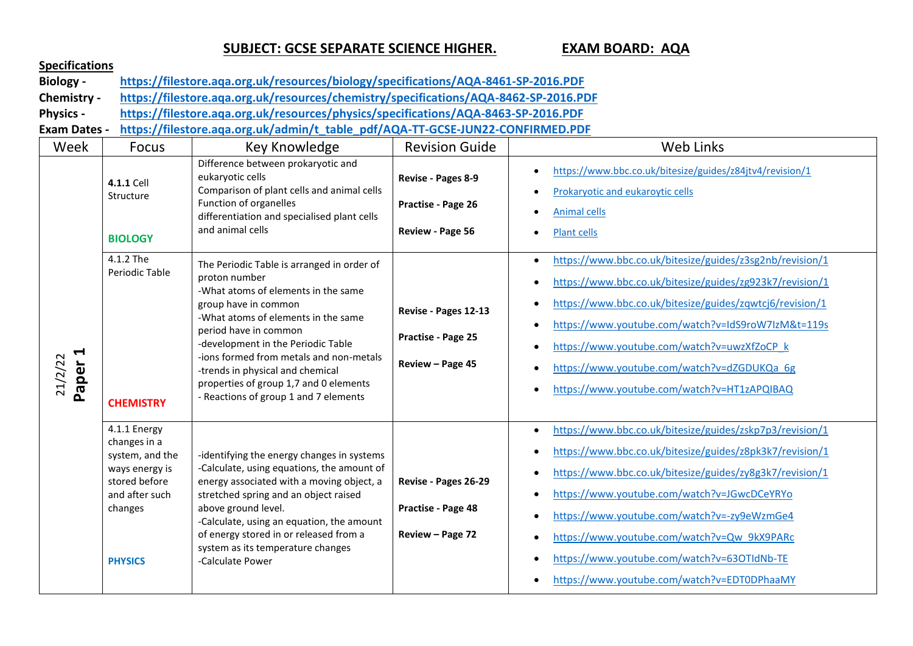## **SUBJECT: GCSE SEPARATE SCIENCE HIGHER. EXAM BOARD: AQA**

| <b>Specifications</b> |                                                                                                                                   |                                                                                                                                                                                                                                                                                                                                                                                                    |                                                                |                                                                                                                                                                                                                                                                                                                                                                                                                             |  |
|-----------------------|-----------------------------------------------------------------------------------------------------------------------------------|----------------------------------------------------------------------------------------------------------------------------------------------------------------------------------------------------------------------------------------------------------------------------------------------------------------------------------------------------------------------------------------------------|----------------------------------------------------------------|-----------------------------------------------------------------------------------------------------------------------------------------------------------------------------------------------------------------------------------------------------------------------------------------------------------------------------------------------------------------------------------------------------------------------------|--|
| <b>Biology -</b>      | https://filestore.aqa.org.uk/resources/biology/specifications/AQA-8461-SP-2016.PDF                                                |                                                                                                                                                                                                                                                                                                                                                                                                    |                                                                |                                                                                                                                                                                                                                                                                                                                                                                                                             |  |
| Chemistry -           |                                                                                                                                   | https://filestore.aqa.org.uk/resources/chemistry/specifications/AQA-8462-SP-2016.PDF                                                                                                                                                                                                                                                                                                               |                                                                |                                                                                                                                                                                                                                                                                                                                                                                                                             |  |
| <b>Physics -</b>      | https://filestore.aqa.org.uk/resources/physics/specifications/AQA-8463-SP-2016.PDF                                                |                                                                                                                                                                                                                                                                                                                                                                                                    |                                                                |                                                                                                                                                                                                                                                                                                                                                                                                                             |  |
| <b>Exam Dates -</b>   |                                                                                                                                   | https://filestore.aqa.org.uk/admin/t_table_pdf/AQA-TT-GCSE-JUN22-CONFIRMED.PDF                                                                                                                                                                                                                                                                                                                     |                                                                |                                                                                                                                                                                                                                                                                                                                                                                                                             |  |
| Week                  | <b>Focus</b>                                                                                                                      | Key Knowledge                                                                                                                                                                                                                                                                                                                                                                                      | <b>Revision Guide</b>                                          | <b>Web Links</b>                                                                                                                                                                                                                                                                                                                                                                                                            |  |
| Paper 1<br>21/2/22    | 4.1.1 Cell<br>Structure<br><b>BIOLOGY</b>                                                                                         | Difference between prokaryotic and<br>eukaryotic cells<br>Comparison of plant cells and animal cells<br>Function of organelles<br>differentiation and specialised plant cells<br>and animal cells                                                                                                                                                                                                  | Revise - Pages 8-9<br>Practise - Page 26<br>Review - Page 56   | https://www.bbc.co.uk/bitesize/guides/z84jtv4/revision/1<br>Prokaryotic and eukaroytic cells<br>$\bullet$<br><b>Animal cells</b><br>Plant cells                                                                                                                                                                                                                                                                             |  |
|                       | 4.1.2 The<br>Periodic Table<br><b>CHEMISTRY</b>                                                                                   | The Periodic Table is arranged in order of<br>proton number<br>-What atoms of elements in the same<br>group have in common<br>-What atoms of elements in the same<br>period have in common<br>-development in the Periodic Table<br>-ions formed from metals and non-metals<br>-trends in physical and chemical<br>properties of group 1,7 and 0 elements<br>- Reactions of group 1 and 7 elements | Revise - Pages 12-13<br>Practise - Page 25<br>Review - Page 45 | https://www.bbc.co.uk/bitesize/guides/z3sg2nb/revision/1<br>$\bullet$<br>https://www.bbc.co.uk/bitesize/guides/zg923k7/revision/1<br>https://www.bbc.co.uk/bitesize/guides/zqwtcj6/revision/1<br>https://www.youtube.com/watch?v=IdS9roW7IzM&t=119s<br>https://www.youtube.com/watch?v=uwzXfZoCP k<br>https://www.youtube.com/watch?v=dZGDUKQa_6g<br>https://www.youtube.com/watch?v=HT1zAPQIBAQ                            |  |
|                       | 4.1.1 Energy<br>changes in a<br>system, and the<br>ways energy is<br>stored before<br>and after such<br>changes<br><b>PHYSICS</b> | -identifying the energy changes in systems<br>-Calculate, using equations, the amount of<br>energy associated with a moving object, a<br>stretched spring and an object raised<br>above ground level.<br>-Calculate, using an equation, the amount<br>of energy stored in or released from a<br>system as its temperature changes<br>-Calculate Power                                              | Revise - Pages 26-29<br>Practise - Page 48<br>Review - Page 72 | https://www.bbc.co.uk/bitesize/guides/zskp7p3/revision/1<br>https://www.bbc.co.uk/bitesize/guides/z8pk3k7/revision/1<br>https://www.bbc.co.uk/bitesize/guides/zy8g3k7/revision/1<br>https://www.youtube.com/watch?v=JGwcDCeYRYo<br>https://www.youtube.com/watch?v=-zy9eWzmGe4<br>https://www.youtube.com/watch?v=Qw_9kX9PARc<br>https://www.youtube.com/watch?v=63OTIdNb-TE<br>https://www.youtube.com/watch?v=EDT0DPhaaMY |  |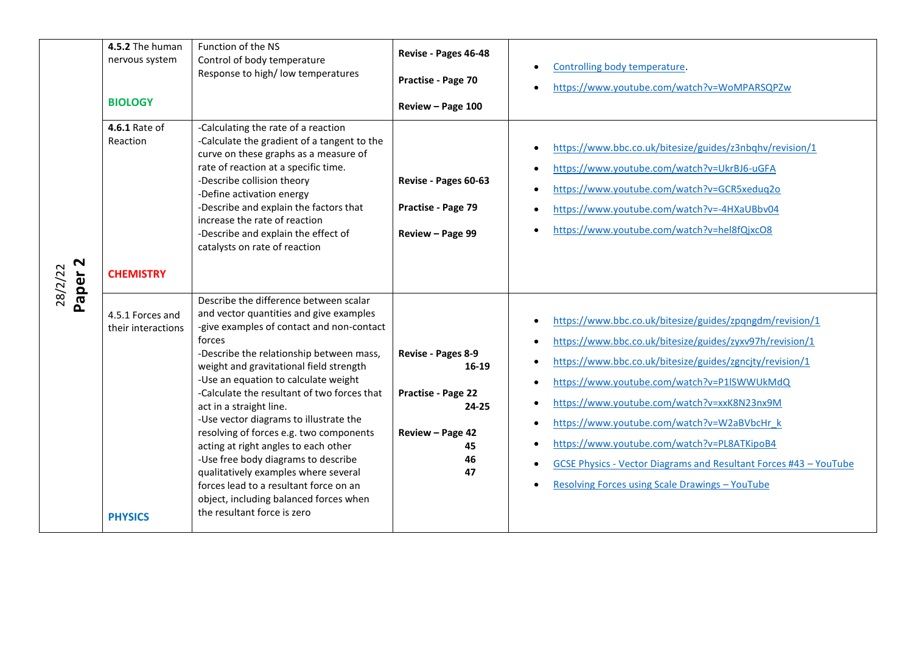|                   | 4.5.2 The human<br>nervous system                        | Function of the NS<br>Control of body temperature<br>Response to high/low temperatures                                                                                                                                                                                                                                                                                                                                                                                                                                                                                                                                                                                           | Revise - Pages 46-48<br>Practise - Page 70                                                           | Controlling body temperature.<br>https://www.youtube.com/watch?v=WoMPARSQPZw                                                                                                                                                                                                                                                                                                                                                                                                                                       |
|-------------------|----------------------------------------------------------|----------------------------------------------------------------------------------------------------------------------------------------------------------------------------------------------------------------------------------------------------------------------------------------------------------------------------------------------------------------------------------------------------------------------------------------------------------------------------------------------------------------------------------------------------------------------------------------------------------------------------------------------------------------------------------|------------------------------------------------------------------------------------------------------|--------------------------------------------------------------------------------------------------------------------------------------------------------------------------------------------------------------------------------------------------------------------------------------------------------------------------------------------------------------------------------------------------------------------------------------------------------------------------------------------------------------------|
|                   | <b>BIOLOGY</b>                                           |                                                                                                                                                                                                                                                                                                                                                                                                                                                                                                                                                                                                                                                                                  | Review - Page 100                                                                                    |                                                                                                                                                                                                                                                                                                                                                                                                                                                                                                                    |
| $\mathbf{\Omega}$ | 4.6.1 Rate of<br>Reaction                                | -Calculating the rate of a reaction<br>-Calculate the gradient of a tangent to the<br>curve on these graphs as a measure of<br>rate of reaction at a specific time.<br>-Describe collision theory<br>-Define activation energy<br>-Describe and explain the factors that<br>increase the rate of reaction<br>-Describe and explain the effect of<br>catalysts on rate of reaction                                                                                                                                                                                                                                                                                                | Revise - Pages 60-63<br>Practise - Page 79<br>Review - Page 99                                       | https://www.bbc.co.uk/bitesize/guides/z3nbqhv/revision/1<br>https://www.youtube.com/watch?v=UkrBJ6-uGFA<br>https://www.youtube.com/watch?v=GCR5xeduq2o<br>https://www.youtube.com/watch?v=-4HXaUBbv04<br>https://www.youtube.com/watch?v=hel8fQjxcO8                                                                                                                                                                                                                                                               |
| 28/2/22           | <b>CHEMISTRY</b>                                         |                                                                                                                                                                                                                                                                                                                                                                                                                                                                                                                                                                                                                                                                                  |                                                                                                      |                                                                                                                                                                                                                                                                                                                                                                                                                                                                                                                    |
| Paper             | 4.5.1 Forces and<br>their interactions<br><b>PHYSICS</b> | Describe the difference between scalar<br>and vector quantities and give examples<br>-give examples of contact and non-contact<br>forces<br>-Describe the relationship between mass,<br>weight and gravitational field strength<br>-Use an equation to calculate weight<br>-Calculate the resultant of two forces that<br>act in a straight line.<br>-Use vector diagrams to illustrate the<br>resolving of forces e.g. two components<br>acting at right angles to each other<br>-Use free body diagrams to describe<br>qualitatively examples where several<br>forces lead to a resultant force on an<br>object, including balanced forces when<br>the resultant force is zero | Revise - Pages 8-9<br>16-19<br>Practise - Page 22<br>$24 - 25$<br>Review - Page 42<br>45<br>46<br>47 | https://www.bbc.co.uk/bitesize/guides/zpqngdm/revision/1<br>https://www.bbc.co.uk/bitesize/guides/zyxv97h/revision/1<br>https://www.bbc.co.uk/bitesize/guides/zgncjty/revision/1<br>https://www.youtube.com/watch?v=P1lSWWUkMdQ<br>https://www.youtube.com/watch?v=xxK8N23nx9M<br>https://www.youtube.com/watch?v=W2aBVbcHr k<br>https://www.youtube.com/watch?v=PL8ATKipoB4<br><b>GCSE Physics - Vector Diagrams and Resultant Forces #43 - YouTube</b><br><b>Resolving Forces using Scale Drawings - YouTube</b> |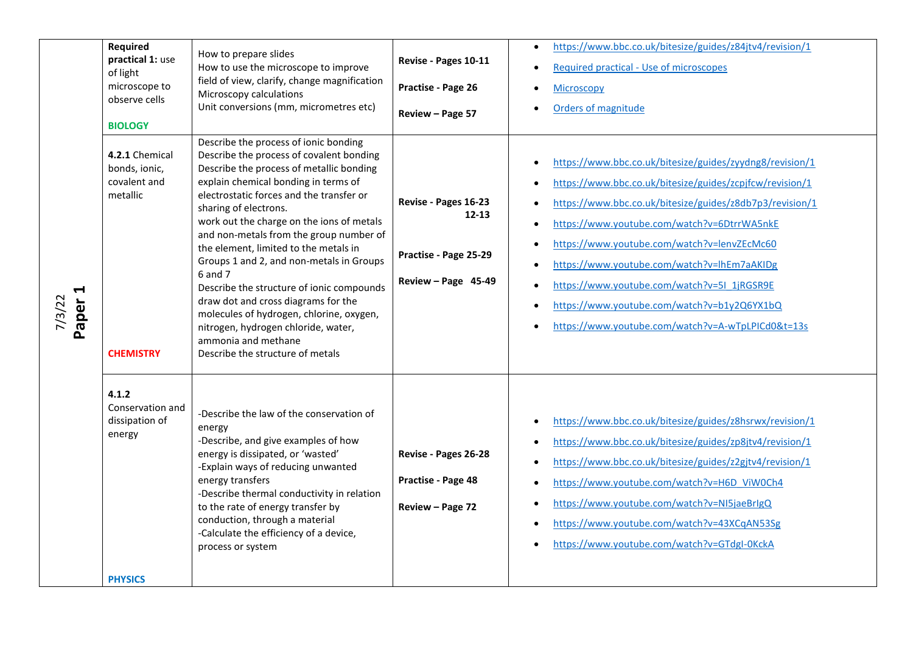| $\blacktriangleleft$<br>Paper:<br>7/3/22 | <b>Required</b><br>practical 1: use<br>of light<br>microscope to<br>observe cells<br><b>BIOLOGY</b><br>4.2.1 Chemical<br>bonds, ionic,<br>covalent and<br>metallic | How to prepare slides<br>How to use the microscope to improve<br>field of view, clarify, change magnification<br>Microscopy calculations<br>Unit conversions (mm, micrometres etc)<br>Describe the process of ionic bonding<br>Describe the process of covalent bonding<br>Describe the process of metallic bonding<br>explain chemical bonding in terms of<br>electrostatic forces and the transfer or<br>sharing of electrons.<br>work out the charge on the ions of metals<br>and non-metals from the group number of<br>the element, limited to the metals in<br>Groups 1 and 2, and non-metals in Groups<br>6 and 7<br>Describe the structure of ionic compounds<br>draw dot and cross diagrams for the<br>molecules of hydrogen, chlorine, oxygen,<br>nitrogen, hydrogen chloride, water, | Revise - Pages 10-11<br>Practise - Page 26<br>Review - Page 57<br>Revise - Pages 16-23<br>$12 - 13$<br>Practise - Page 25-29<br>Review - Page 45-49 | https://www.bbc.co.uk/bitesize/guides/z84jtv4/revision/1<br>$\bullet$<br>Required practical - Use of microscopes<br>$\bullet$<br><b>Microscopy</b><br>$\bullet$<br>Orders of magnitude<br>$\bullet$<br>https://www.bbc.co.uk/bitesize/guides/zyydng8/revision/1<br>$\bullet$<br>https://www.bbc.co.uk/bitesize/guides/zcpjfcw/revision/1<br>$\bullet$<br>https://www.bbc.co.uk/bitesize/guides/z8db7p3/revision/1<br>$\bullet$<br>https://www.youtube.com/watch?v=6DtrrWA5nkE<br>$\bullet$<br>https://www.youtube.com/watch?v=lenvZEcMc60<br>$\bullet$<br>https://www.youtube.com/watch?v=lhEm7aAKIDg<br>$\bullet$<br>https://www.youtube.com/watch?v=5I_1jRGSR9E<br>$\bullet$<br>https://www.youtube.com/watch?v=b1y2Q6YX1bQ<br>$\bullet$<br>https://www.youtube.com/watch?v=A-wTpLPICd0&t=13s<br>$\bullet$ |
|------------------------------------------|--------------------------------------------------------------------------------------------------------------------------------------------------------------------|-------------------------------------------------------------------------------------------------------------------------------------------------------------------------------------------------------------------------------------------------------------------------------------------------------------------------------------------------------------------------------------------------------------------------------------------------------------------------------------------------------------------------------------------------------------------------------------------------------------------------------------------------------------------------------------------------------------------------------------------------------------------------------------------------|-----------------------------------------------------------------------------------------------------------------------------------------------------|--------------------------------------------------------------------------------------------------------------------------------------------------------------------------------------------------------------------------------------------------------------------------------------------------------------------------------------------------------------------------------------------------------------------------------------------------------------------------------------------------------------------------------------------------------------------------------------------------------------------------------------------------------------------------------------------------------------------------------------------------------------------------------------------------------------|
|                                          | <b>CHEMISTRY</b><br>4.1.2<br>Conservation and<br>dissipation of<br>energy<br><b>PHYSICS</b>                                                                        | ammonia and methane<br>Describe the structure of metals<br>-Describe the law of the conservation of<br>energy<br>-Describe, and give examples of how<br>energy is dissipated, or 'wasted'<br>-Explain ways of reducing unwanted<br>energy transfers<br>-Describe thermal conductivity in relation<br>to the rate of energy transfer by<br>conduction, through a material<br>-Calculate the efficiency of a device,<br>process or system                                                                                                                                                                                                                                                                                                                                                         | Revise - Pages 26-28<br>Practise - Page 48<br>Review - Page 72                                                                                      | https://www.bbc.co.uk/bitesize/guides/z8hsrwx/revision/1<br>$\bullet$<br>https://www.bbc.co.uk/bitesize/guides/zp8jtv4/revision/1<br>$\bullet$<br>https://www.bbc.co.uk/bitesize/guides/z2gjtv4/revision/1<br>$\bullet$<br>https://www.youtube.com/watch?v=H6D ViW0Ch4<br>$\bullet$<br>https://www.youtube.com/watch?v=NI5jaeBrIgQ<br>$\bullet$<br>https://www.youtube.com/watch?v=43XCqAN53Sg<br>$\bullet$<br>https://www.youtube.com/watch?v=GTdgI-0KckA<br>$\bullet$                                                                                                                                                                                                                                                                                                                                      |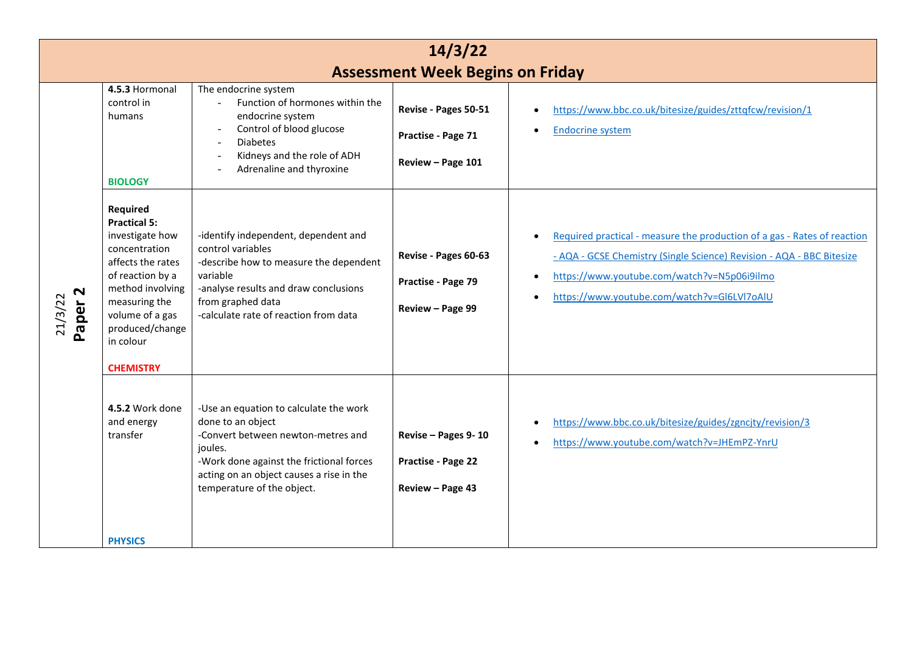| 14/3/22                       |                                                                                                                                                                                                                          |                                                                                                                                                                                                                                    |                                                                 |                                                                                                                                                                                                                                                 |  |
|-------------------------------|--------------------------------------------------------------------------------------------------------------------------------------------------------------------------------------------------------------------------|------------------------------------------------------------------------------------------------------------------------------------------------------------------------------------------------------------------------------------|-----------------------------------------------------------------|-------------------------------------------------------------------------------------------------------------------------------------------------------------------------------------------------------------------------------------------------|--|
|                               | <b>Assessment Week Begins on Friday</b>                                                                                                                                                                                  |                                                                                                                                                                                                                                    |                                                                 |                                                                                                                                                                                                                                                 |  |
| Paper <sub>2</sub><br>21/3/22 | 4.5.3 Hormonal<br>control in<br>humans<br><b>BIOLOGY</b>                                                                                                                                                                 | The endocrine system<br>Function of hormones within the<br>endocrine system<br>Control of blood glucose<br><b>Diabetes</b><br>Kidneys and the role of ADH<br>Adrenaline and thyroxine                                              | Revise - Pages 50-51<br>Practise - Page 71<br>Review - Page 101 | https://www.bbc.co.uk/bitesize/guides/zttqfcw/revision/1<br><b>Endocrine system</b>                                                                                                                                                             |  |
|                               | Required<br><b>Practical 5:</b><br>investigate how<br>concentration<br>affects the rates<br>of reaction by a<br>method involving<br>measuring the<br>volume of a gas<br>produced/change<br>in colour<br><b>CHEMISTRY</b> | -identify independent, dependent and<br>control variables<br>-describe how to measure the dependent<br>variable<br>-analyse results and draw conclusions<br>from graphed data<br>-calculate rate of reaction from data             | Revise - Pages 60-63<br>Practise - Page 79<br>Review - Page 99  | Required practical - measure the production of a gas - Rates of reaction<br>- AQA - GCSE Chemistry (Single Science) Revision - AQA - BBC Bitesize<br>https://www.youtube.com/watch?v=N5p06i9ilmo<br>https://www.youtube.com/watch?v=GI6LVI7oAIU |  |
|                               | 4.5.2 Work done<br>and energy<br>transfer<br><b>PHYSICS</b>                                                                                                                                                              | -Use an equation to calculate the work<br>done to an object<br>-Convert between newton-metres and<br>joules.<br>-Work done against the frictional forces<br>acting on an object causes a rise in the<br>temperature of the object. | Revise - Pages 9-10<br>Practise - Page 22<br>Review - Page 43   | https://www.bbc.co.uk/bitesize/guides/zgncjty/revision/3<br>https://www.youtube.com/watch?v=JHEmPZ-YnrU                                                                                                                                         |  |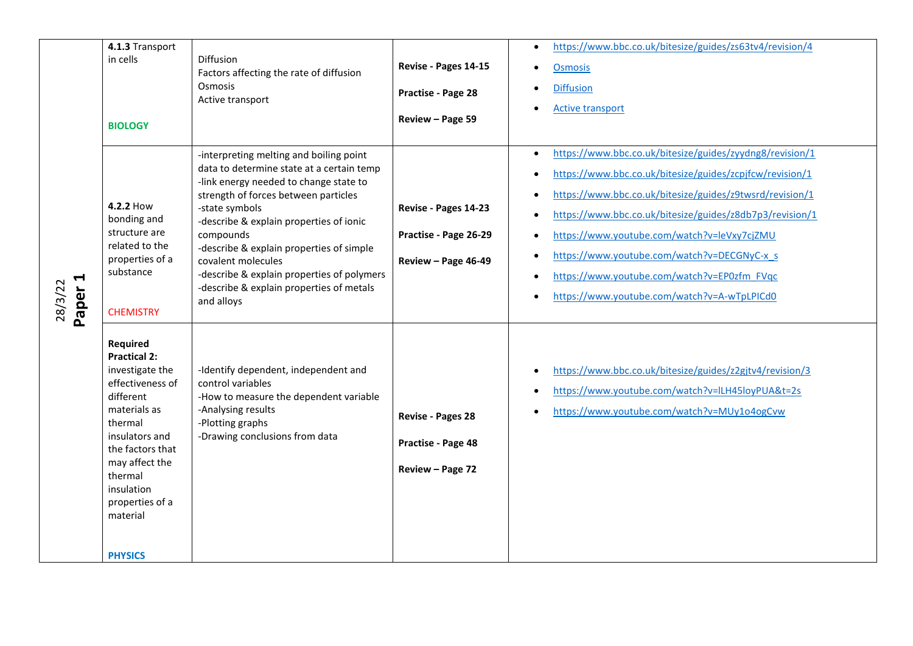|                       | 4.1.3 Transport                                                                                                                                                                                                                |                                                                                                                                                                                                                                                                                                                                                                  |                                                                      | https://www.bbc.co.uk/bitesize/guides/zs63tv4/revision/4<br>$\bullet$                                                                                                                                                                                                                                                                                                                                                                                                                |
|-----------------------|--------------------------------------------------------------------------------------------------------------------------------------------------------------------------------------------------------------------------------|------------------------------------------------------------------------------------------------------------------------------------------------------------------------------------------------------------------------------------------------------------------------------------------------------------------------------------------------------------------|----------------------------------------------------------------------|--------------------------------------------------------------------------------------------------------------------------------------------------------------------------------------------------------------------------------------------------------------------------------------------------------------------------------------------------------------------------------------------------------------------------------------------------------------------------------------|
| ↤<br>28/3/22<br>Paper | in cells                                                                                                                                                                                                                       | Diffusion<br>Factors affecting the rate of diffusion<br>Osmosis<br>Active transport                                                                                                                                                                                                                                                                              | Revise - Pages 14-15                                                 | <b>Osmosis</b><br>$\bullet$                                                                                                                                                                                                                                                                                                                                                                                                                                                          |
|                       | <b>BIOLOGY</b>                                                                                                                                                                                                                 |                                                                                                                                                                                                                                                                                                                                                                  | Practise - Page 28<br>Review - Page 59                               | <b>Diffusion</b><br>$\bullet$<br><b>Active transport</b>                                                                                                                                                                                                                                                                                                                                                                                                                             |
|                       | 4.2.2 How<br>bonding and<br>structure are<br>related to the<br>properties of a<br>substance                                                                                                                                    | -interpreting melting and boiling point<br>data to determine state at a certain temp<br>-link energy needed to change state to<br>strength of forces between particles<br>-state symbols<br>-describe & explain properties of ionic<br>compounds<br>-describe & explain properties of simple<br>covalent molecules<br>-describe & explain properties of polymers | Revise - Pages 14-23<br>Practise - Page 26-29<br>Review - Page 46-49 | https://www.bbc.co.uk/bitesize/guides/zyydng8/revision/1<br>$\bullet$<br>https://www.bbc.co.uk/bitesize/guides/zcpjfcw/revision/1<br>$\bullet$<br>https://www.bbc.co.uk/bitesize/guides/z9twsrd/revision/1<br>$\bullet$<br>https://www.bbc.co.uk/bitesize/guides/z8db7p3/revision/1<br>$\bullet$<br>https://www.youtube.com/watch?v=leVxy7cjZMU<br>$\bullet$<br>https://www.youtube.com/watch?v=DECGNyC-x s<br>$\bullet$<br>https://www.youtube.com/watch?v=EP0zfm FVqc<br>$\bullet$ |
|                       | <b>CHEMISTRY</b>                                                                                                                                                                                                               | -describe & explain properties of metals<br>and alloys                                                                                                                                                                                                                                                                                                           |                                                                      | https://www.youtube.com/watch?v=A-wTpLPICd0<br>$\bullet$                                                                                                                                                                                                                                                                                                                                                                                                                             |
|                       | Required<br><b>Practical 2:</b><br>investigate the<br>effectiveness of<br>different<br>materials as<br>thermal<br>insulators and<br>the factors that<br>may affect the<br>thermal<br>insulation<br>properties of a<br>material | -Identify dependent, independent and<br>control variables<br>-How to measure the dependent variable<br>-Analysing results<br>-Plotting graphs<br>-Drawing conclusions from data                                                                                                                                                                                  | Revise - Pages 28<br>Practise - Page 48<br>Review - Page 72          | https://www.bbc.co.uk/bitesize/guides/z2gjtv4/revision/3<br>$\bullet$<br>https://www.youtube.com/watch?v=ILH45loyPUA&t=2s<br>$\bullet$<br>https://www.youtube.com/watch?v=MUy1o4ogCvw<br>$\bullet$                                                                                                                                                                                                                                                                                   |
|                       | <b>PHYSICS</b>                                                                                                                                                                                                                 |                                                                                                                                                                                                                                                                                                                                                                  |                                                                      |                                                                                                                                                                                                                                                                                                                                                                                                                                                                                      |